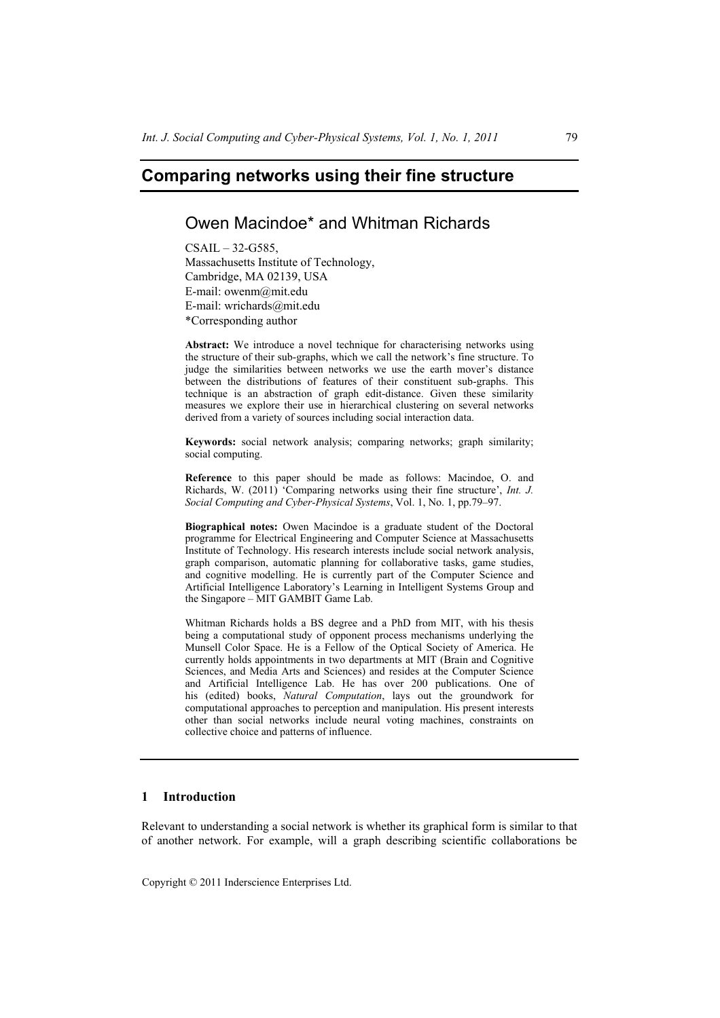# **Comparing networks using their fine structure**

## Owen Macindoe\* and Whitman Richards

 $CSAIL - 32-G585$ Massachusetts Institute of Technology, Cambridge, MA 02139, USA E-mail: owenm@mit.edu E-mail: wrichards@mit.edu \*Corresponding author

**Abstract:** We introduce a novel technique for characterising networks using the structure of their sub-graphs, which we call the network's fine structure. To judge the similarities between networks we use the earth mover's distance between the distributions of features of their constituent sub-graphs. This technique is an abstraction of graph edit-distance. Given these similarity measures we explore their use in hierarchical clustering on several networks derived from a variety of sources including social interaction data.

**Keywords:** social network analysis; comparing networks; graph similarity; social computing.

**Reference** to this paper should be made as follows: Macindoe, O. and Richards, W. (2011) 'Comparing networks using their fine structure', *Int. J. Social Computing and Cyber-Physical Systems*, Vol. 1, No. 1, pp.79–97.

**Biographical notes:** Owen Macindoe is a graduate student of the Doctoral programme for Electrical Engineering and Computer Science at Massachusetts Institute of Technology. His research interests include social network analysis, graph comparison, automatic planning for collaborative tasks, game studies, and cognitive modelling. He is currently part of the Computer Science and Artificial Intelligence Laboratory's Learning in Intelligent Systems Group and the Singapore – MIT GAMBIT Game Lab.

Whitman Richards holds a BS degree and a PhD from MIT, with his thesis being a computational study of opponent process mechanisms underlying the Munsell Color Space. He is a Fellow of the Optical Society of America. He currently holds appointments in two departments at MIT (Brain and Cognitive Sciences, and Media Arts and Sciences) and resides at the Computer Science and Artificial Intelligence Lab. He has over 200 publications. One of his (edited) books, *Natural Computation*, lays out the groundwork for computational approaches to perception and manipulation. His present interests other than social networks include neural voting machines, constraints on collective choice and patterns of influence.

#### **1 Introduction**

Relevant to understanding a social network is whether its graphical form is similar to that of another network. For example, will a graph describing scientific collaborations be

Copyright © 2011 Inderscience Enterprises Ltd.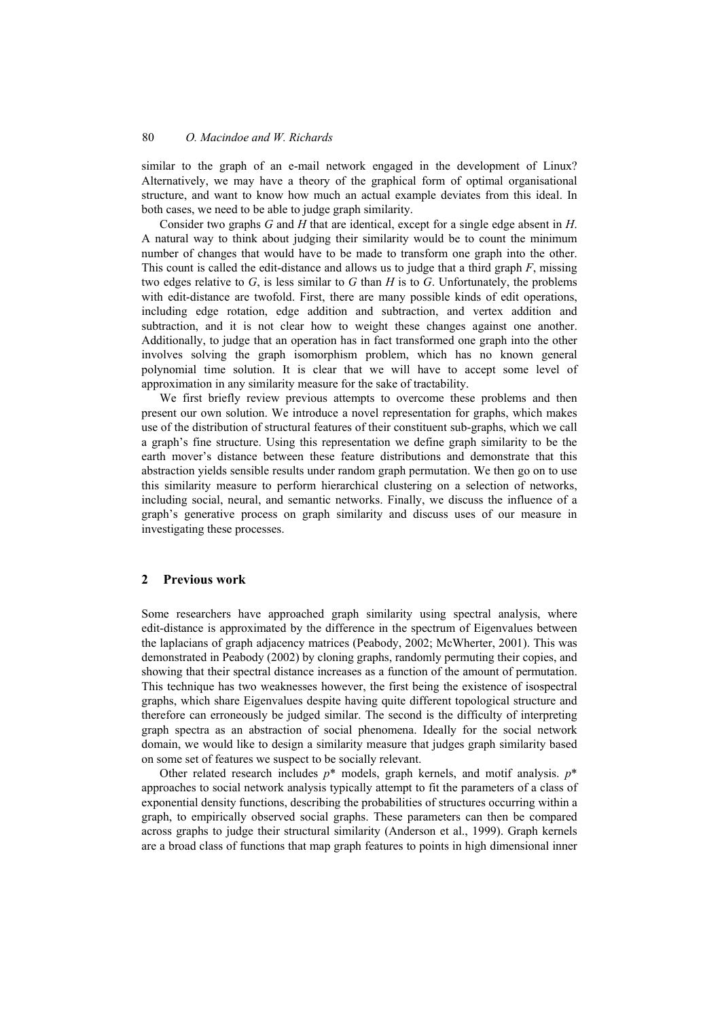similar to the graph of an e-mail network engaged in the development of Linux? Alternatively, we may have a theory of the graphical form of optimal organisational structure, and want to know how much an actual example deviates from this ideal. In both cases, we need to be able to judge graph similarity.

Consider two graphs *G* and *H* that are identical, except for a single edge absent in *H*. A natural way to think about judging their similarity would be to count the minimum number of changes that would have to be made to transform one graph into the other. This count is called the edit-distance and allows us to judge that a third graph *F*, missing two edges relative to *G*, is less similar to *G* than *H* is to *G*. Unfortunately, the problems with edit-distance are twofold. First, there are many possible kinds of edit operations, including edge rotation, edge addition and subtraction, and vertex addition and subtraction, and it is not clear how to weight these changes against one another. Additionally, to judge that an operation has in fact transformed one graph into the other involves solving the graph isomorphism problem, which has no known general polynomial time solution. It is clear that we will have to accept some level of approximation in any similarity measure for the sake of tractability.

We first briefly review previous attempts to overcome these problems and then present our own solution. We introduce a novel representation for graphs, which makes use of the distribution of structural features of their constituent sub-graphs, which we call a graph's fine structure. Using this representation we define graph similarity to be the earth mover's distance between these feature distributions and demonstrate that this abstraction yields sensible results under random graph permutation. We then go on to use this similarity measure to perform hierarchical clustering on a selection of networks, including social, neural, and semantic networks. Finally, we discuss the influence of a graph's generative process on graph similarity and discuss uses of our measure in investigating these processes.

#### **2 Previous work**

Some researchers have approached graph similarity using spectral analysis, where edit-distance is approximated by the difference in the spectrum of Eigenvalues between the laplacians of graph adjacency matrices (Peabody, 2002; McWherter, 2001). This was demonstrated in Peabody (2002) by cloning graphs, randomly permuting their copies, and showing that their spectral distance increases as a function of the amount of permutation. This technique has two weaknesses however, the first being the existence of isospectral graphs, which share Eigenvalues despite having quite different topological structure and therefore can erroneously be judged similar. The second is the difficulty of interpreting graph spectra as an abstraction of social phenomena. Ideally for the social network domain, we would like to design a similarity measure that judges graph similarity based on some set of features we suspect to be socially relevant.

Other related research includes *p*\* models, graph kernels, and motif analysis. *p*\* approaches to social network analysis typically attempt to fit the parameters of a class of exponential density functions, describing the probabilities of structures occurring within a graph, to empirically observed social graphs. These parameters can then be compared across graphs to judge their structural similarity (Anderson et al., 1999). Graph kernels are a broad class of functions that map graph features to points in high dimensional inner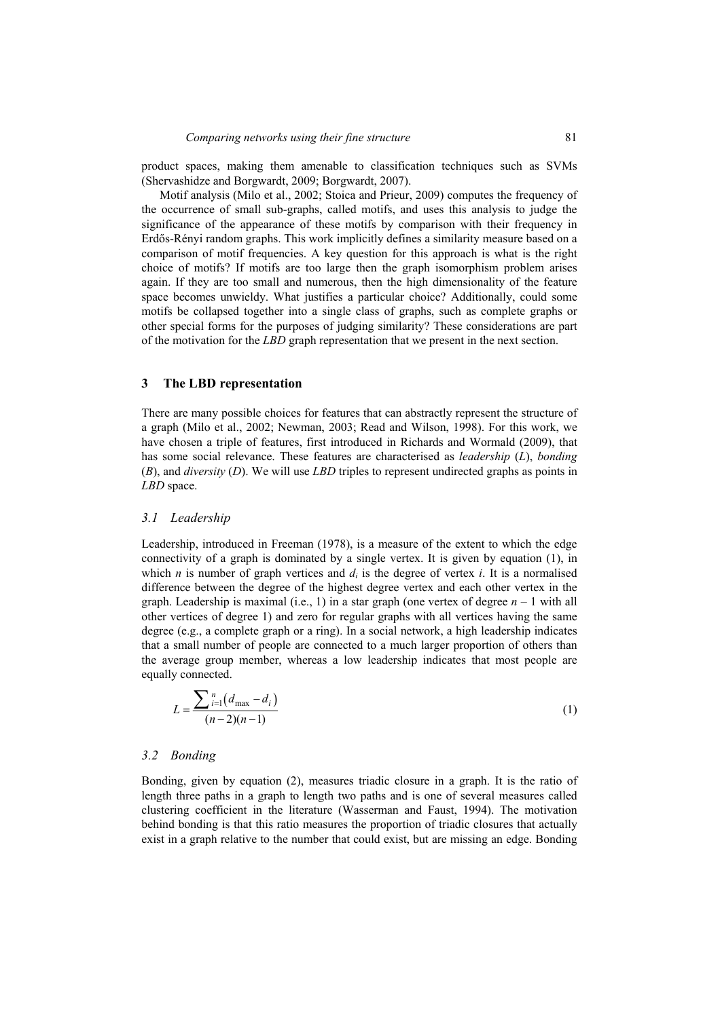product spaces, making them amenable to classification techniques such as SVMs (Shervashidze and Borgwardt, 2009; Borgwardt, 2007).

Motif analysis (Milo et al., 2002; Stoica and Prieur, 2009) computes the frequency of the occurrence of small sub-graphs, called motifs, and uses this analysis to judge the significance of the appearance of these motifs by comparison with their frequency in Erdős-Rényi random graphs. This work implicitly defines a similarity measure based on a comparison of motif frequencies. A key question for this approach is what is the right choice of motifs? If motifs are too large then the graph isomorphism problem arises again. If they are too small and numerous, then the high dimensionality of the feature space becomes unwieldy. What justifies a particular choice? Additionally, could some motifs be collapsed together into a single class of graphs, such as complete graphs or other special forms for the purposes of judging similarity? These considerations are part of the motivation for the *LBD* graph representation that we present in the next section.

## **3 The LBD representation**

There are many possible choices for features that can abstractly represent the structure of a graph (Milo et al., 2002; Newman, 2003; Read and Wilson, 1998). For this work, we have chosen a triple of features, first introduced in Richards and Wormald (2009), that has some social relevance. These features are characterised as *leadership* (*L*), *bonding* (*B*), and *diversity* (*D*). We will use *LBD* triples to represent undirected graphs as points in *LBD* space.

#### *3.1 Leadership*

Leadership, introduced in Freeman (1978), is a measure of the extent to which the edge connectivity of a graph is dominated by a single vertex. It is given by equation (1), in which *n* is number of graph vertices and  $d_i$  is the degree of vertex *i*. It is a normalised difference between the degree of the highest degree vertex and each other vertex in the graph. Leadership is maximal (i.e., 1) in a star graph (one vertex of degree  $n - 1$  with all other vertices of degree 1) and zero for regular graphs with all vertices having the same degree (e.g., a complete graph or a ring). In a social network, a high leadership indicates that a small number of people are connected to a much larger proportion of others than the average group member, whereas a low leadership indicates that most people are equally connected.

$$
L = \frac{\sum_{i=1}^{n} (d_{\max} - d_i)}{(n-2)(n-1)}
$$
(1)

#### *3.2 Bonding*

Bonding, given by equation (2), measures triadic closure in a graph. It is the ratio of length three paths in a graph to length two paths and is one of several measures called clustering coefficient in the literature (Wasserman and Faust, 1994). The motivation behind bonding is that this ratio measures the proportion of triadic closures that actually exist in a graph relative to the number that could exist, but are missing an edge. Bonding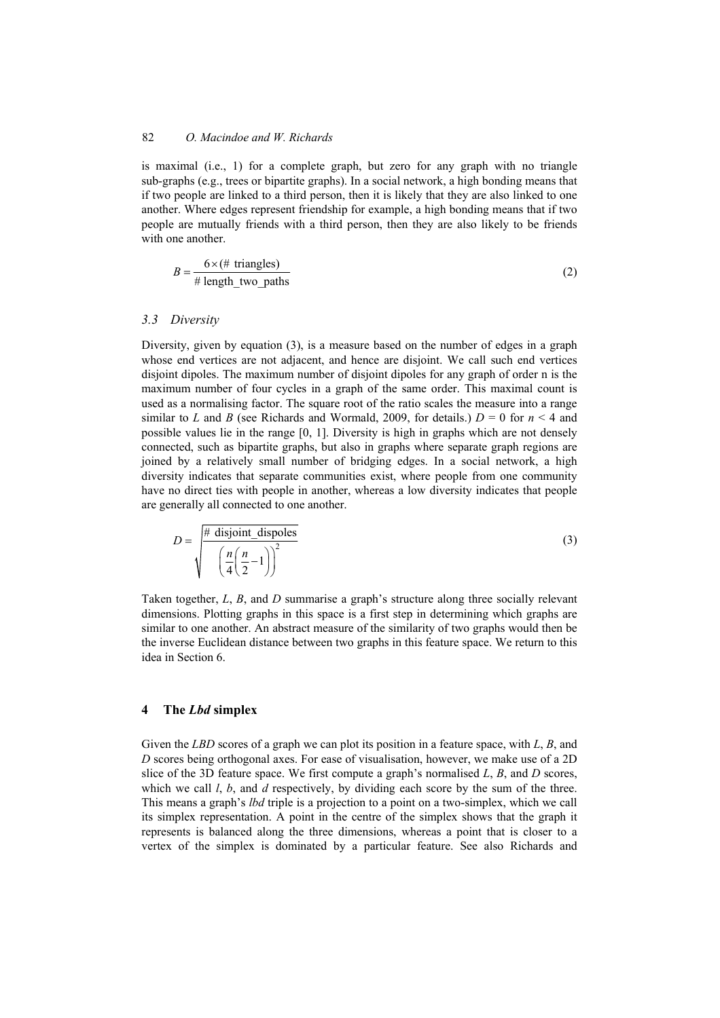is maximal (i.e., 1) for a complete graph, but zero for any graph with no triangle sub-graphs (e.g., trees or bipartite graphs). In a social network, a high bonding means that if two people are linked to a third person, then it is likely that they are also linked to one another. Where edges represent friendship for example, a high bonding means that if two people are mutually friends with a third person, then they are also likely to be friends with one another

$$
B = \frac{6 \times (\# \text{ triangles})}{\# \text{ length\_two\_paths}} \tag{2}
$$

#### *3.3 Diversity*

Diversity, given by equation (3), is a measure based on the number of edges in a graph whose end vertices are not adjacent, and hence are disjoint. We call such end vertices disjoint dipoles. The maximum number of disjoint dipoles for any graph of order n is the maximum number of four cycles in a graph of the same order. This maximal count is used as a normalising factor. The square root of the ratio scales the measure into a range similar to *L* and *B* (see Richards and Wormald, 2009, for details.)  $D = 0$  for  $n \le 4$  and possible values lie in the range [0, 1]. Diversity is high in graphs which are not densely connected, such as bipartite graphs, but also in graphs where separate graph regions are joined by a relatively small number of bridging edges. In a social network, a high diversity indicates that separate communities exist, where people from one community have no direct ties with people in another, whereas a low diversity indicates that people are generally all connected to one another.

$$
D = \sqrt{\frac{\# \text{ disjoint\_dispoles}}{\left(\frac{n}{4}\left(\frac{n}{2} - 1\right)\right)^2}}
$$
(3)

Taken together, *L*, *B*, and *D* summarise a graph's structure along three socially relevant dimensions. Plotting graphs in this space is a first step in determining which graphs are similar to one another. An abstract measure of the similarity of two graphs would then be the inverse Euclidean distance between two graphs in this feature space. We return to this idea in Section 6.

## **4 The** *Lbd* **simplex**

Given the *LBD* scores of a graph we can plot its position in a feature space, with *L*, *B*, and *D* scores being orthogonal axes. For ease of visualisation, however, we make use of a 2D slice of the 3D feature space. We first compute a graph's normalised *L*, *B*, and *D* scores, which we call *l*, *b*, and *d* respectively, by dividing each score by the sum of the three. This means a graph's *lbd* triple is a projection to a point on a two-simplex, which we call its simplex representation. A point in the centre of the simplex shows that the graph it represents is balanced along the three dimensions, whereas a point that is closer to a vertex of the simplex is dominated by a particular feature. See also Richards and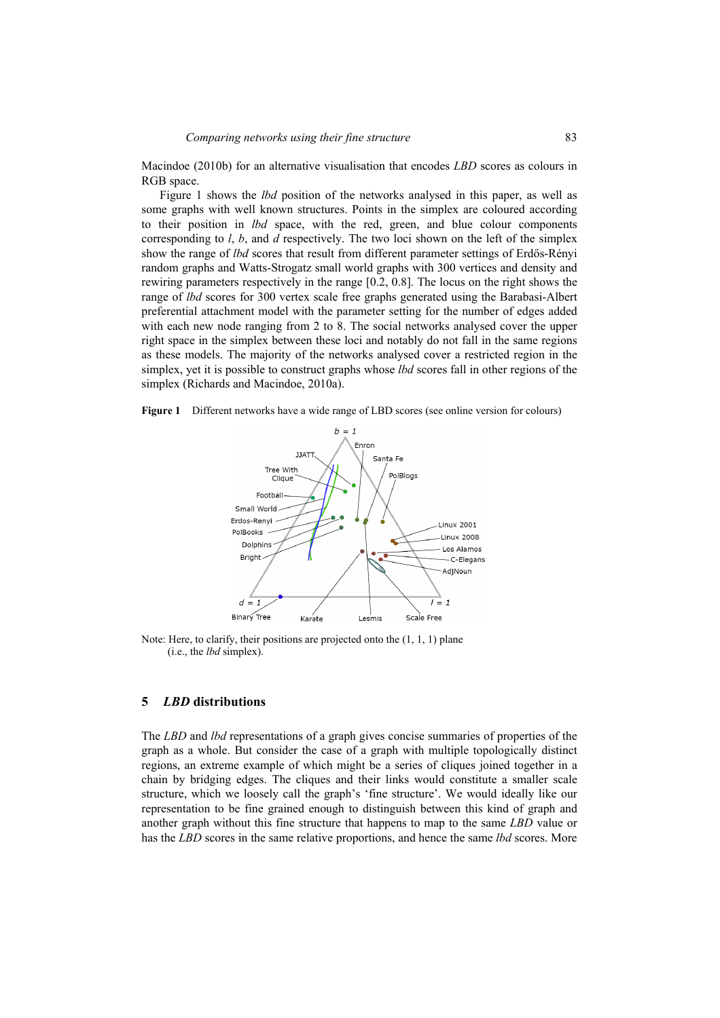Macindoe (2010b) for an alternative visualisation that encodes *LBD* scores as colours in RGB space.

Figure 1 shows the *lbd* position of the networks analysed in this paper, as well as some graphs with well known structures. Points in the simplex are coloured according to their position in *lbd* space, with the red, green, and blue colour components corresponding to *l*, *b*, and *d* respectively. The two loci shown on the left of the simplex show the range of *lbd* scores that result from different parameter settings of Erdős-Rényi random graphs and Watts-Strogatz small world graphs with 300 vertices and density and rewiring parameters respectively in the range [0.2, 0.8]. The locus on the right shows the range of *lbd* scores for 300 vertex scale free graphs generated using the Barabasi-Albert preferential attachment model with the parameter setting for the number of edges added with each new node ranging from 2 to 8. The social networks analysed cover the upper right space in the simplex between these loci and notably do not fall in the same regions as these models. The majority of the networks analysed cover a restricted region in the simplex, yet it is possible to construct graphs whose *lbd* scores fall in other regions of the simplex (Richards and Macindoe, 2010a).





Note: Here, to clarify, their positions are projected onto the (1, 1, 1) plane (i.e., the *lbd* simplex).

#### **5** *LBD* **distributions**

The *LBD* and *lbd* representations of a graph gives concise summaries of properties of the graph as a whole. But consider the case of a graph with multiple topologically distinct regions, an extreme example of which might be a series of cliques joined together in a chain by bridging edges. The cliques and their links would constitute a smaller scale structure, which we loosely call the graph's 'fine structure'. We would ideally like our representation to be fine grained enough to distinguish between this kind of graph and another graph without this fine structure that happens to map to the same *LBD* value or has the *LBD* scores in the same relative proportions, and hence the same *lbd* scores. More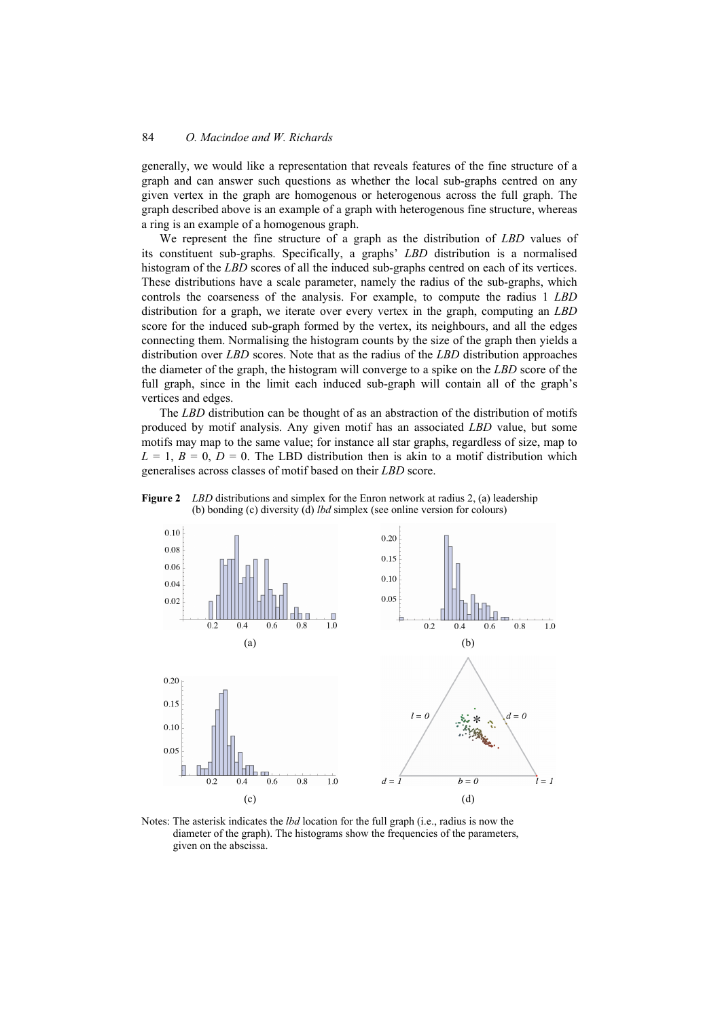generally, we would like a representation that reveals features of the fine structure of a graph and can answer such questions as whether the local sub-graphs centred on any given vertex in the graph are homogenous or heterogenous across the full graph. The graph described above is an example of a graph with heterogenous fine structure, whereas a ring is an example of a homogenous graph.

We represent the fine structure of a graph as the distribution of *LBD* values of its constituent sub-graphs. Specifically, a graphs' *LBD* distribution is a normalised histogram of the *LBD* scores of all the induced sub-graphs centred on each of its vertices. These distributions have a scale parameter, namely the radius of the sub-graphs, which controls the coarseness of the analysis. For example, to compute the radius 1 *LBD* distribution for a graph, we iterate over every vertex in the graph, computing an *LBD* score for the induced sub-graph formed by the vertex, its neighbours, and all the edges connecting them. Normalising the histogram counts by the size of the graph then yields a distribution over *LBD* scores. Note that as the radius of the *LBD* distribution approaches the diameter of the graph, the histogram will converge to a spike on the *LBD* score of the full graph, since in the limit each induced sub-graph will contain all of the graph's vertices and edges.

The *LBD* distribution can be thought of as an abstraction of the distribution of motifs produced by motif analysis. Any given motif has an associated *LBD* value, but some motifs may map to the same value; for instance all star graphs, regardless of size, map to  $L = 1$ ,  $B = 0$ ,  $D = 0$ . The LBD distribution then is akin to a motif distribution which generalises across classes of motif based on their *LBD* score.





Notes: The asterisk indicates the *lbd* location for the full graph (i.e., radius is now the diameter of the graph). The histograms show the frequencies of the parameters, given on the abscissa.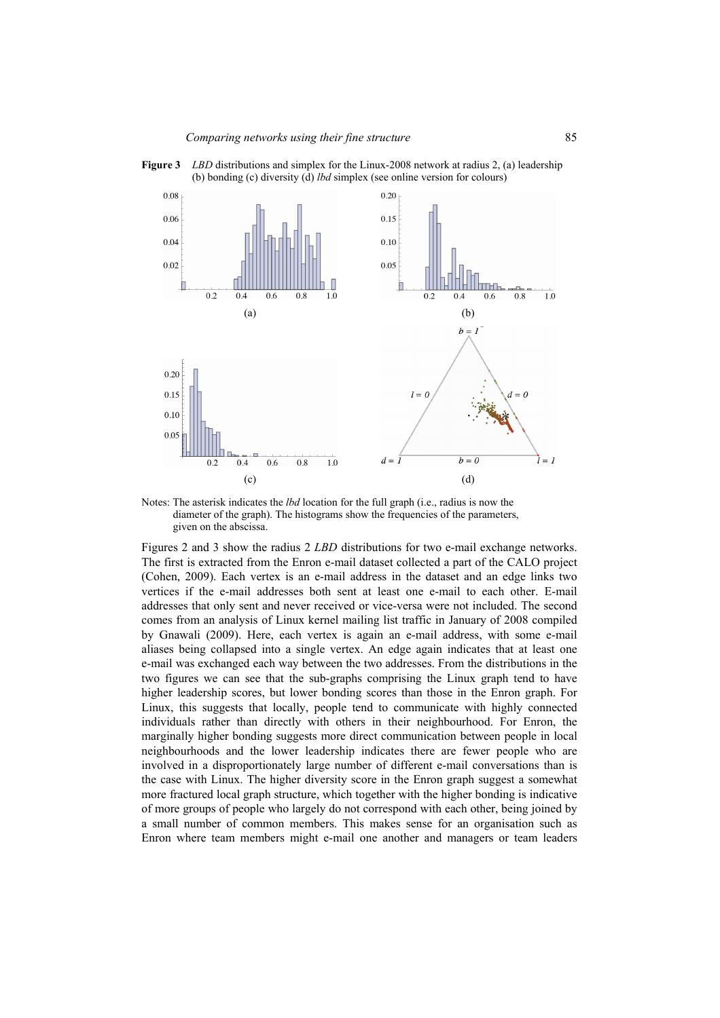

**Figure 3** *LBD* distributions and simplex for the Linux-2008 network at radius 2, (a) leadership (b) bonding (c) diversity (d) *lbd* simplex (see online version for colours)

Notes: The asterisk indicates the *lbd* location for the full graph (i.e., radius is now the diameter of the graph). The histograms show the frequencies of the parameters, given on the abscissa.

Figures 2 and 3 show the radius 2 *LBD* distributions for two e-mail exchange networks. The first is extracted from the Enron e-mail dataset collected a part of the CALO project (Cohen, 2009). Each vertex is an e-mail address in the dataset and an edge links two vertices if the e-mail addresses both sent at least one e-mail to each other. E-mail addresses that only sent and never received or vice-versa were not included. The second comes from an analysis of Linux kernel mailing list traffic in January of 2008 compiled by Gnawali (2009). Here, each vertex is again an e-mail address, with some e-mail aliases being collapsed into a single vertex. An edge again indicates that at least one e-mail was exchanged each way between the two addresses. From the distributions in the two figures we can see that the sub-graphs comprising the Linux graph tend to have higher leadership scores, but lower bonding scores than those in the Enron graph. For Linux, this suggests that locally, people tend to communicate with highly connected individuals rather than directly with others in their neighbourhood. For Enron, the marginally higher bonding suggests more direct communication between people in local neighbourhoods and the lower leadership indicates there are fewer people who are involved in a disproportionately large number of different e-mail conversations than is the case with Linux. The higher diversity score in the Enron graph suggest a somewhat more fractured local graph structure, which together with the higher bonding is indicative of more groups of people who largely do not correspond with each other, being joined by a small number of common members. This makes sense for an organisation such as Enron where team members might e-mail one another and managers or team leaders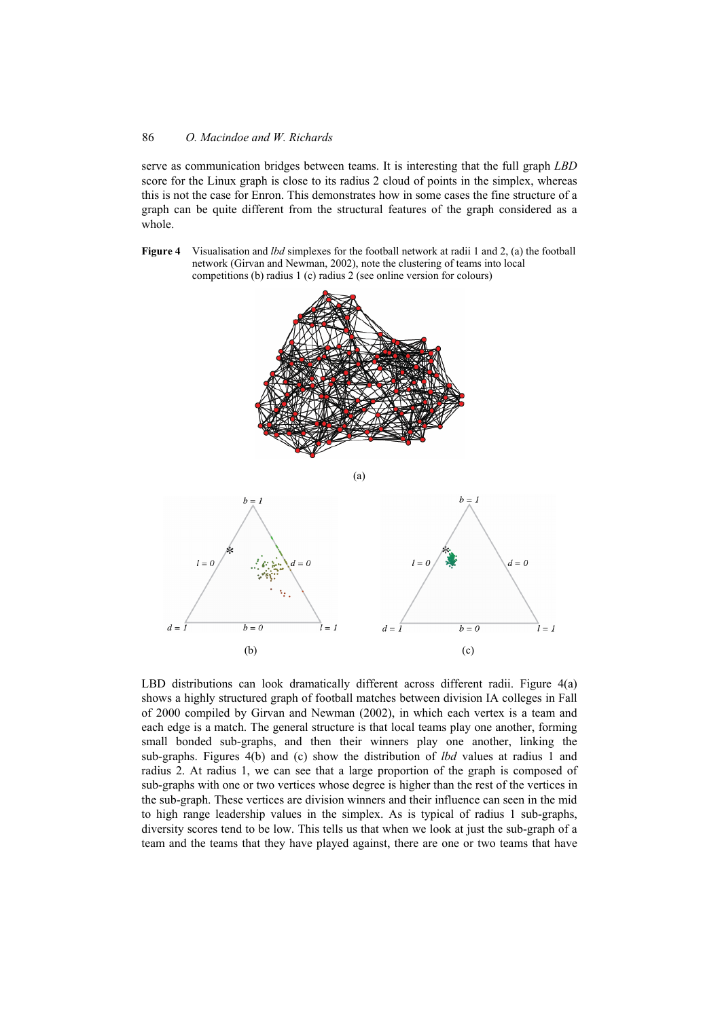serve as communication bridges between teams. It is interesting that the full graph *LBD* score for the Linux graph is close to its radius 2 cloud of points in the simplex, whereas this is not the case for Enron. This demonstrates how in some cases the fine structure of a graph can be quite different from the structural features of the graph considered as a whole.

**Figure 4** Visualisation and *lbd* simplexes for the football network at radii 1 and 2, (a) the football network (Girvan and Newman, 2002), note the clustering of teams into local competitions (b) radius 1 (c) radius 2 (see online version for colours)





LBD distributions can look dramatically different across different radii. Figure 4(a) shows a highly structured graph of football matches between division IA colleges in Fall of 2000 compiled by Girvan and Newman (2002), in which each vertex is a team and each edge is a match. The general structure is that local teams play one another, forming small bonded sub-graphs, and then their winners play one another, linking the sub-graphs. Figures 4(b) and (c) show the distribution of *lbd* values at radius 1 and radius 2. At radius 1, we can see that a large proportion of the graph is composed of sub-graphs with one or two vertices whose degree is higher than the rest of the vertices in the sub-graph. These vertices are division winners and their influence can seen in the mid to high range leadership values in the simplex. As is typical of radius 1 sub-graphs, diversity scores tend to be low. This tells us that when we look at just the sub-graph of a team and the teams that they have played against, there are one or two teams that have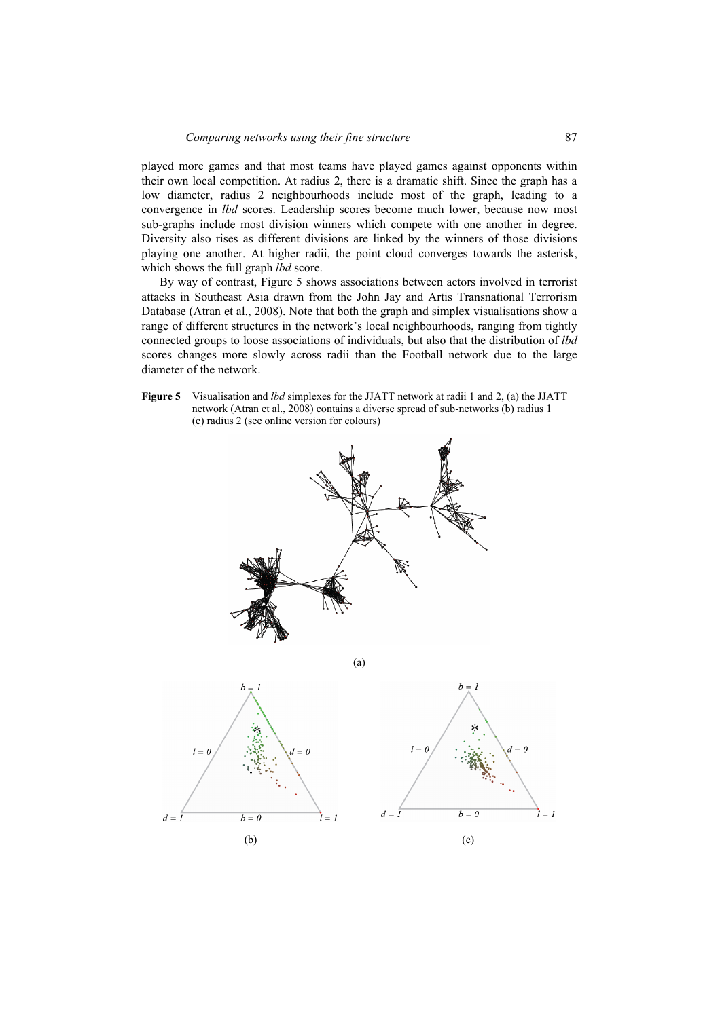played more games and that most teams have played games against opponents within their own local competition. At radius 2, there is a dramatic shift. Since the graph has a low diameter, radius 2 neighbourhoods include most of the graph, leading to a convergence in *lbd* scores. Leadership scores become much lower, because now most sub-graphs include most division winners which compete with one another in degree. Diversity also rises as different divisions are linked by the winners of those divisions playing one another. At higher radii, the point cloud converges towards the asterisk, which shows the full graph *lbd* score.

By way of contrast, Figure 5 shows associations between actors involved in terrorist attacks in Southeast Asia drawn from the John Jay and Artis Transnational Terrorism Database (Atran et al., 2008). Note that both the graph and simplex visualisations show a range of different structures in the network's local neighbourhoods, ranging from tightly connected groups to loose associations of individuals, but also that the distribution of *lbd* scores changes more slowly across radii than the Football network due to the large diameter of the network.

**Figure 5** Visualisation and *lbd* simplexes for the JJATT network at radii 1 and 2, (a) the JJATT network (Atran et al., 2008) contains a diverse spread of sub-networks (b) radius 1 (c) radius 2 (see online version for colours)

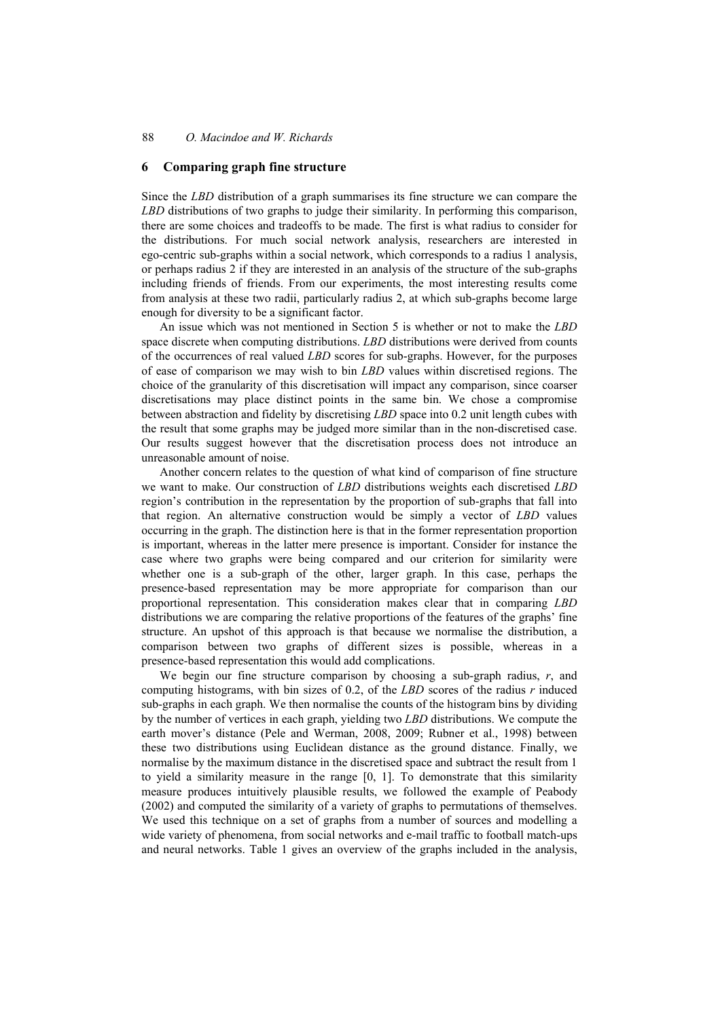### **6 Comparing graph fine structure**

Since the *LBD* distribution of a graph summarises its fine structure we can compare the *LBD* distributions of two graphs to judge their similarity. In performing this comparison, there are some choices and tradeoffs to be made. The first is what radius to consider for the distributions. For much social network analysis, researchers are interested in ego-centric sub-graphs within a social network, which corresponds to a radius 1 analysis, or perhaps radius 2 if they are interested in an analysis of the structure of the sub-graphs including friends of friends. From our experiments, the most interesting results come from analysis at these two radii, particularly radius 2, at which sub-graphs become large enough for diversity to be a significant factor.

An issue which was not mentioned in Section 5 is whether or not to make the *LBD* space discrete when computing distributions. *LBD* distributions were derived from counts of the occurrences of real valued *LBD* scores for sub-graphs. However, for the purposes of ease of comparison we may wish to bin *LBD* values within discretised regions. The choice of the granularity of this discretisation will impact any comparison, since coarser discretisations may place distinct points in the same bin. We chose a compromise between abstraction and fidelity by discretising *LBD* space into 0.2 unit length cubes with the result that some graphs may be judged more similar than in the non-discretised case. Our results suggest however that the discretisation process does not introduce an unreasonable amount of noise.

Another concern relates to the question of what kind of comparison of fine structure we want to make. Our construction of *LBD* distributions weights each discretised *LBD* region's contribution in the representation by the proportion of sub-graphs that fall into that region. An alternative construction would be simply a vector of *LBD* values occurring in the graph. The distinction here is that in the former representation proportion is important, whereas in the latter mere presence is important. Consider for instance the case where two graphs were being compared and our criterion for similarity were whether one is a sub-graph of the other, larger graph. In this case, perhaps the presence-based representation may be more appropriate for comparison than our proportional representation. This consideration makes clear that in comparing *LBD* distributions we are comparing the relative proportions of the features of the graphs' fine structure. An upshot of this approach is that because we normalise the distribution, a comparison between two graphs of different sizes is possible, whereas in a presence-based representation this would add complications.

We begin our fine structure comparison by choosing a sub-graph radius, *r*, and computing histograms, with bin sizes of 0.2, of the *LBD* scores of the radius *r* induced sub-graphs in each graph. We then normalise the counts of the histogram bins by dividing by the number of vertices in each graph, yielding two *LBD* distributions. We compute the earth mover's distance (Pele and Werman, 2008, 2009; Rubner et al., 1998) between these two distributions using Euclidean distance as the ground distance. Finally, we normalise by the maximum distance in the discretised space and subtract the result from 1 to yield a similarity measure in the range [0, 1]. To demonstrate that this similarity measure produces intuitively plausible results, we followed the example of Peabody (2002) and computed the similarity of a variety of graphs to permutations of themselves. We used this technique on a set of graphs from a number of sources and modelling a wide variety of phenomena, from social networks and e-mail traffic to football match-ups and neural networks. Table 1 gives an overview of the graphs included in the analysis,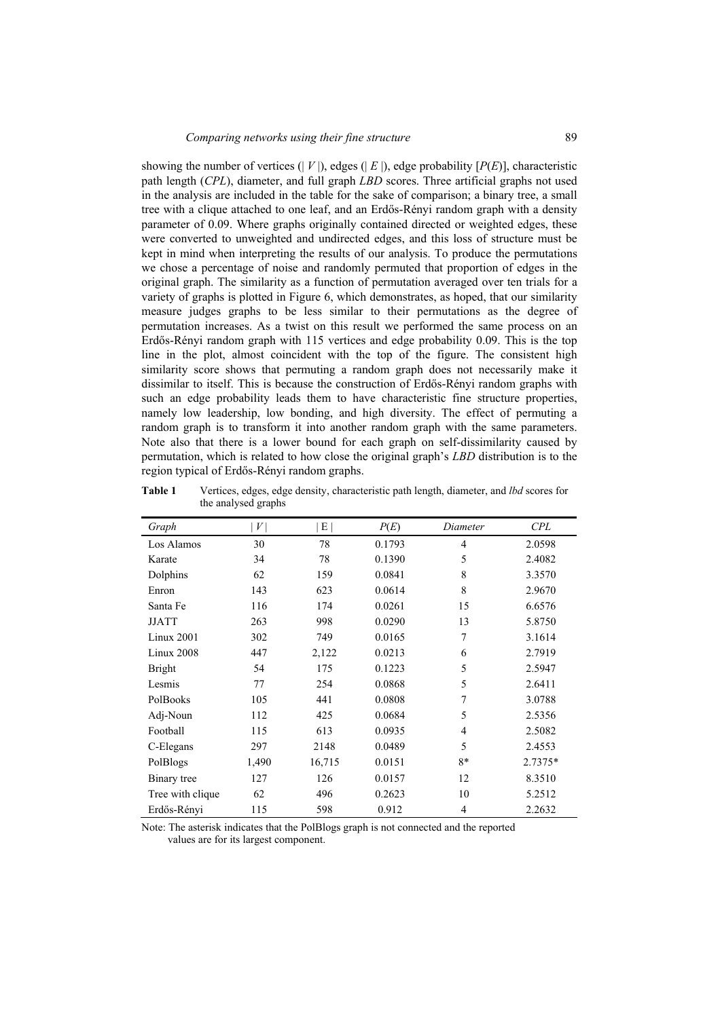showing the number of vertices  $(|V|)$ , edges  $(|E|)$ , edge probability  $[P(E)]$ , characteristic path length (*CPL*), diameter, and full graph *LBD* scores. Three artificial graphs not used in the analysis are included in the table for the sake of comparison; a binary tree, a small tree with a clique attached to one leaf, and an Erdős-Rényi random graph with a density parameter of 0.09. Where graphs originally contained directed or weighted edges, these were converted to unweighted and undirected edges, and this loss of structure must be kept in mind when interpreting the results of our analysis. To produce the permutations we chose a percentage of noise and randomly permuted that proportion of edges in the original graph. The similarity as a function of permutation averaged over ten trials for a variety of graphs is plotted in Figure 6, which demonstrates, as hoped, that our similarity measure judges graphs to be less similar to their permutations as the degree of permutation increases. As a twist on this result we performed the same process on an Erdős-Rényi random graph with 115 vertices and edge probability 0.09. This is the top line in the plot, almost coincident with the top of the figure. The consistent high similarity score shows that permuting a random graph does not necessarily make it dissimilar to itself. This is because the construction of Erdős-Rényi random graphs with such an edge probability leads them to have characteristic fine structure properties, namely low leadership, low bonding, and high diversity. The effect of permuting a random graph is to transform it into another random graph with the same parameters. Note also that there is a lower bound for each graph on self-dissimilarity caused by permutation, which is related to how close the original graph's *LBD* distribution is to the region typical of Erdős-Rényi random graphs.

**Table 1** Vertices, edges, edge density, characteristic path length, diameter, and *lbd* scores for the analysed graphs

| Graph            | V     | E      | P(E)   | Diameter       | CPL     |
|------------------|-------|--------|--------|----------------|---------|
| Los Alamos       | 30    | 78     | 0.1793 | 4              | 2.0598  |
| Karate           | 34    | 78     | 0.1390 | 5              | 2.4082  |
| Dolphins         | 62    | 159    | 0.0841 | 8              | 3.3570  |
| Enron            | 143   | 623    | 0.0614 | 8              | 2.9670  |
| Santa Fe         | 116   | 174    | 0.0261 | 15             | 6.6576  |
| <b>JJATT</b>     | 263   | 998    | 0.0290 | 13             | 5.8750  |
| Linux 2001       | 302   | 749    | 0.0165 | 7              | 3.1614  |
| Linux 2008       | 447   | 2,122  | 0.0213 | 6              | 2.7919  |
| <b>Bright</b>    | 54    | 175    | 0.1223 | 5              | 2.5947  |
| Lesmis           | 77    | 254    | 0.0868 | 5              | 2.6411  |
| PolBooks         | 105   | 441    | 0.0808 | 7              | 3.0788  |
| Adj-Noun         | 112   | 425    | 0.0684 | 5              | 2.5356  |
| Football         | 115   | 613    | 0.0935 | $\overline{4}$ | 2.5082  |
| C-Elegans        | 297   | 2148   | 0.0489 | 5              | 2.4553  |
| PolBlogs         | 1,490 | 16,715 | 0.0151 | 8*             | 2.7375* |
| Binary tree      | 127   | 126    | 0.0157 | 12             | 8.3510  |
| Tree with clique | 62    | 496    | 0.2623 | 10             | 5.2512  |
| Erdős-Rényi      | 115   | 598    | 0.912  | $\overline{4}$ | 2.2632  |

Note: The asterisk indicates that the PolBlogs graph is not connected and the reported values are for its largest component.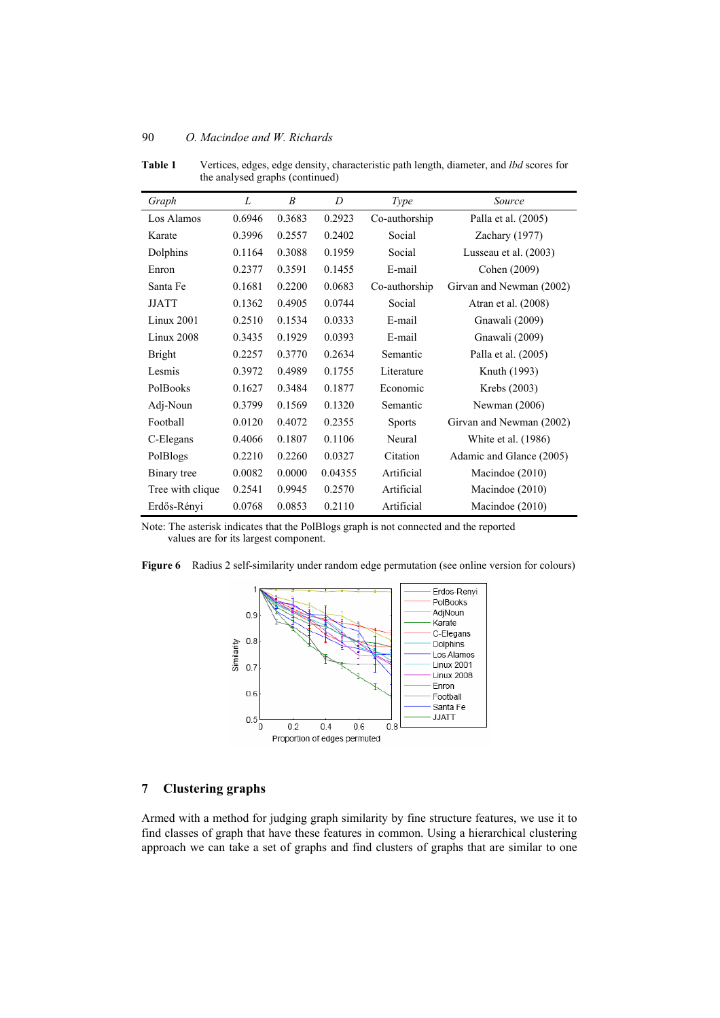| Graph            | L      | $\boldsymbol{B}$ | D       | <i>Type</i>   | Source                   |
|------------------|--------|------------------|---------|---------------|--------------------------|
| Los Alamos       | 0.6946 | 0.3683           | 0.2923  | Co-authorship | Palla et al. (2005)      |
| Karate           | 0.3996 | 0.2557           | 0.2402  | Social        | Zachary (1977)           |
| Dolphins         | 0.1164 | 0.3088           | 0.1959  | Social        | Lusseau et al. (2003)    |
| Enron            | 0.2377 | 0.3591           | 0.1455  | E-mail        | Cohen (2009)             |
| Santa Fe         | 0.1681 | 0.2200           | 0.0683  | Co-authorship | Girvan and Newman (2002) |
| <b>JJATT</b>     | 0.1362 | 0.4905           | 0.0744  | Social        | Atran et al. (2008)      |
| Linux 2001       | 0.2510 | 0.1534           | 0.0333  | E-mail        | Gnawali (2009)           |
| Linux 2008       | 0.3435 | 0.1929           | 0.0393  | E-mail        | Gnawali (2009)           |
| <b>Bright</b>    | 0.2257 | 0.3770           | 0.2634  | Semantic      | Palla et al. (2005)      |
| Lesmis           | 0.3972 | 0.4989           | 0.1755  | Literature    | Knuth (1993)             |
| PolBooks         | 0.1627 | 0.3484           | 0.1877  | Economic      | Krebs (2003)             |
| Adj-Noun         | 0.3799 | 0.1569           | 0.1320  | Semantic      | Newman $(2006)$          |
| Football         | 0.0120 | 0.4072           | 0.2355  | <b>Sports</b> | Girvan and Newman (2002) |
| C-Elegans        | 0.4066 | 0.1807           | 0.1106  | Neural        | White et al. (1986)      |
| PolBlogs         | 0.2210 | 0.2260           | 0.0327  | Citation      | Adamic and Glance (2005) |
| Binary tree      | 0.0082 | 0.0000           | 0.04355 | Artificial    | Macindoe (2010)          |
| Tree with clique | 0.2541 | 0.9945           | 0.2570  | Artificial    | Macindoe (2010)          |
| Erdős-Rényi      | 0.0768 | 0.0853           | 0.2110  | Artificial    | Macindoe (2010)          |

**Table 1** Vertices, edges, edge density, characteristic path length, diameter, and *lbd* scores for the analysed graphs (continued)

Note: The asterisk indicates that the PolBlogs graph is not connected and the reported values are for its largest component.



**Figure 6** Radius 2 self-similarity under random edge permutation (see online version for colours)

## **7 Clustering graphs**

Armed with a method for judging graph similarity by fine structure features, we use it to find classes of graph that have these features in common. Using a hierarchical clustering approach we can take a set of graphs and find clusters of graphs that are similar to one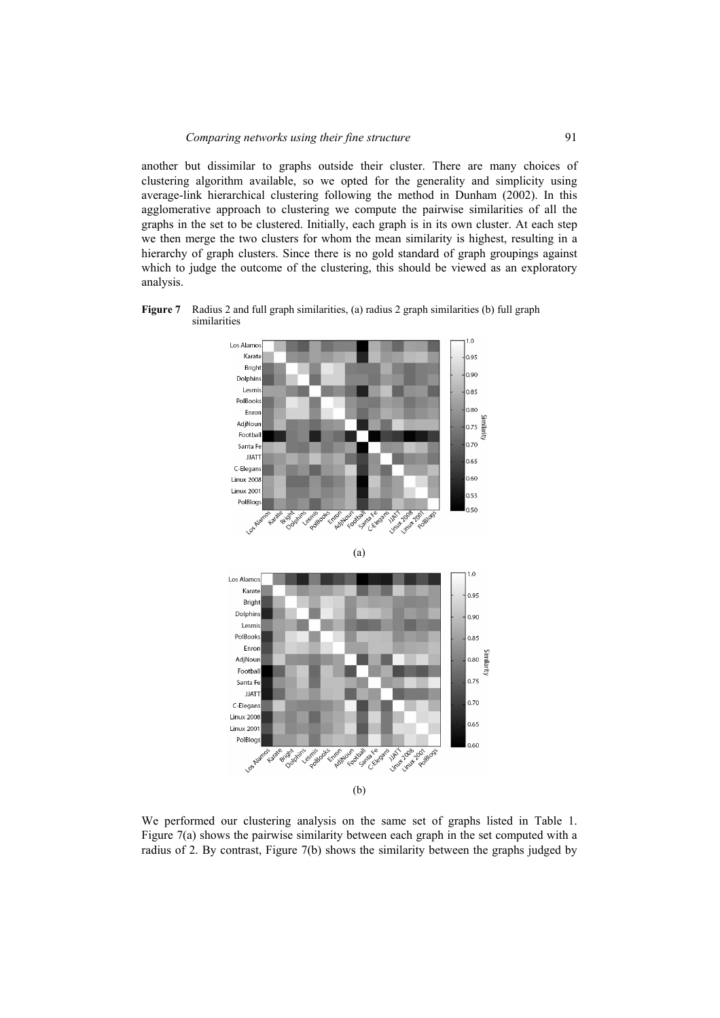another but dissimilar to graphs outside their cluster. There are many choices of clustering algorithm available, so we opted for the generality and simplicity using average-link hierarchical clustering following the method in Dunham (2002). In this agglomerative approach to clustering we compute the pairwise similarities of all the graphs in the set to be clustered. Initially, each graph is in its own cluster. At each step we then merge the two clusters for whom the mean similarity is highest, resulting in a hierarchy of graph clusters. Since there is no gold standard of graph groupings against which to judge the outcome of the clustering, this should be viewed as an exploratory analysis.

**Figure 7** Radius 2 and full graph similarities, (a) radius 2 graph similarities (b) full graph similarities



We performed our clustering analysis on the same set of graphs listed in Table 1. Figure 7(a) shows the pairwise similarity between each graph in the set computed with a radius of 2. By contrast, Figure 7(b) shows the similarity between the graphs judged by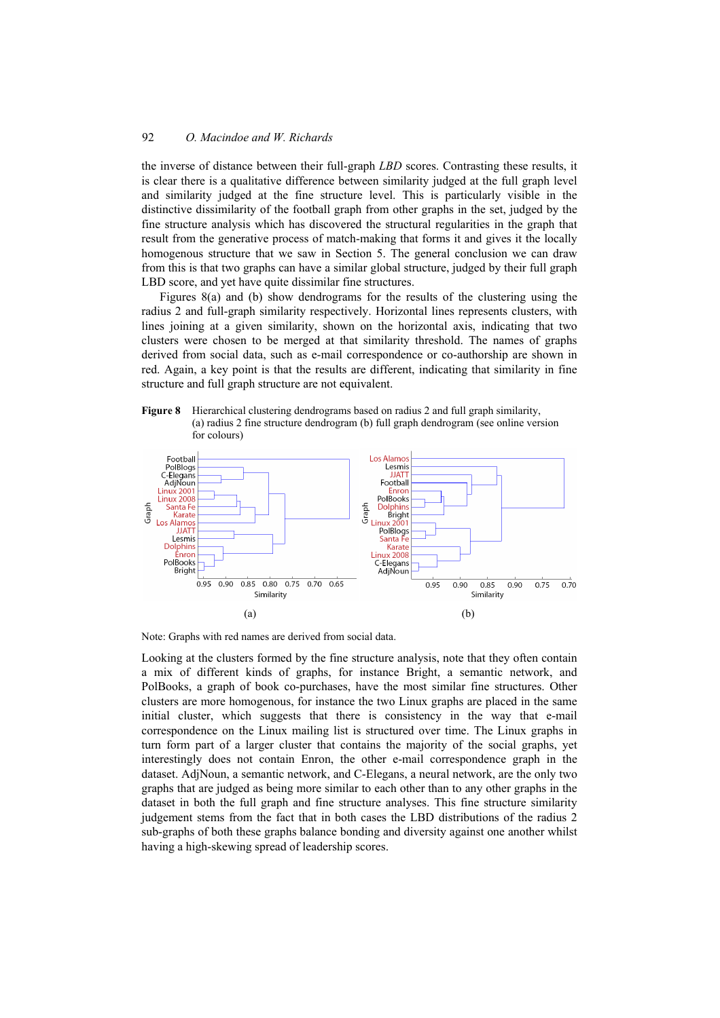the inverse of distance between their full-graph *LBD* scores. Contrasting these results, it is clear there is a qualitative difference between similarity judged at the full graph level and similarity judged at the fine structure level. This is particularly visible in the distinctive dissimilarity of the football graph from other graphs in the set, judged by the fine structure analysis which has discovered the structural regularities in the graph that result from the generative process of match-making that forms it and gives it the locally homogenous structure that we saw in Section 5. The general conclusion we can draw from this is that two graphs can have a similar global structure, judged by their full graph LBD score, and yet have quite dissimilar fine structures.

Figures 8(a) and (b) show dendrograms for the results of the clustering using the radius 2 and full-graph similarity respectively. Horizontal lines represents clusters, with lines joining at a given similarity, shown on the horizontal axis, indicating that two clusters were chosen to be merged at that similarity threshold. The names of graphs derived from social data, such as e-mail correspondence or co-authorship are shown in red. Again, a key point is that the results are different, indicating that similarity in fine structure and full graph structure are not equivalent.





Note: Graphs with red names are derived from social data.

Looking at the clusters formed by the fine structure analysis, note that they often contain a mix of different kinds of graphs, for instance Bright, a semantic network, and PolBooks, a graph of book co-purchases, have the most similar fine structures. Other clusters are more homogenous, for instance the two Linux graphs are placed in the same initial cluster, which suggests that there is consistency in the way that e-mail correspondence on the Linux mailing list is structured over time. The Linux graphs in turn form part of a larger cluster that contains the majority of the social graphs, yet interestingly does not contain Enron, the other e-mail correspondence graph in the dataset. AdjNoun, a semantic network, and C-Elegans, a neural network, are the only two graphs that are judged as being more similar to each other than to any other graphs in the dataset in both the full graph and fine structure analyses. This fine structure similarity judgement stems from the fact that in both cases the LBD distributions of the radius 2 sub-graphs of both these graphs balance bonding and diversity against one another whilst having a high-skewing spread of leadership scores.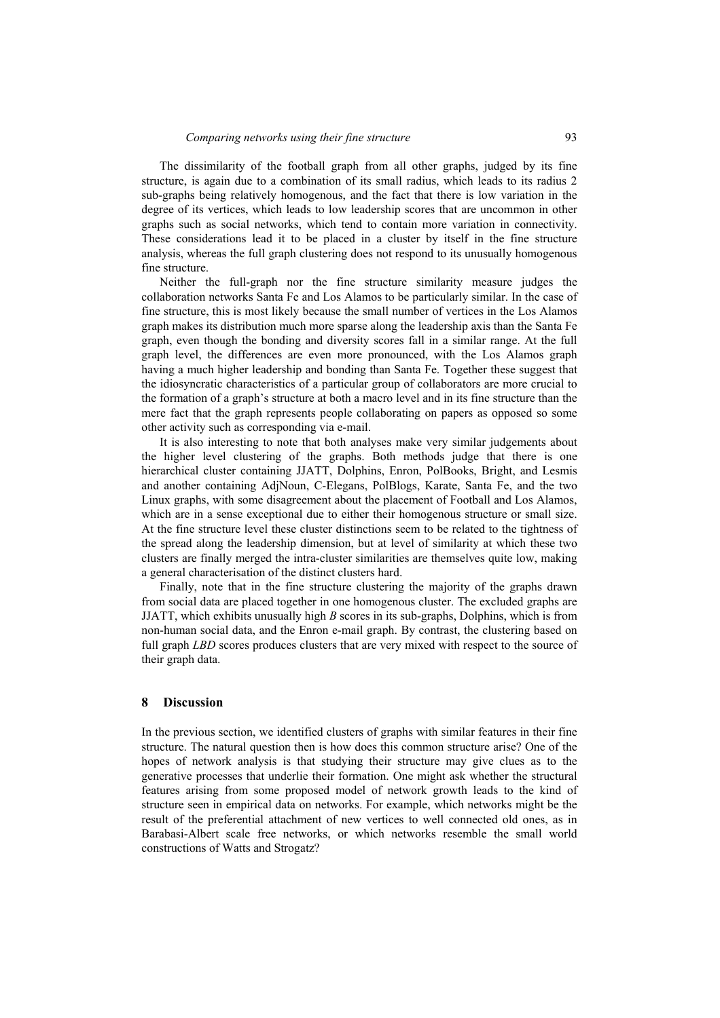The dissimilarity of the football graph from all other graphs, judged by its fine structure, is again due to a combination of its small radius, which leads to its radius 2 sub-graphs being relatively homogenous, and the fact that there is low variation in the degree of its vertices, which leads to low leadership scores that are uncommon in other graphs such as social networks, which tend to contain more variation in connectivity. These considerations lead it to be placed in a cluster by itself in the fine structure analysis, whereas the full graph clustering does not respond to its unusually homogenous fine structure.

Neither the full-graph nor the fine structure similarity measure judges the collaboration networks Santa Fe and Los Alamos to be particularly similar. In the case of fine structure, this is most likely because the small number of vertices in the Los Alamos graph makes its distribution much more sparse along the leadership axis than the Santa Fe graph, even though the bonding and diversity scores fall in a similar range. At the full graph level, the differences are even more pronounced, with the Los Alamos graph having a much higher leadership and bonding than Santa Fe. Together these suggest that the idiosyncratic characteristics of a particular group of collaborators are more crucial to the formation of a graph's structure at both a macro level and in its fine structure than the mere fact that the graph represents people collaborating on papers as opposed so some other activity such as corresponding via e-mail.

It is also interesting to note that both analyses make very similar judgements about the higher level clustering of the graphs. Both methods judge that there is one hierarchical cluster containing JJATT, Dolphins, Enron, PolBooks, Bright, and Lesmis and another containing AdjNoun, C-Elegans, PolBlogs, Karate, Santa Fe, and the two Linux graphs, with some disagreement about the placement of Football and Los Alamos, which are in a sense exceptional due to either their homogenous structure or small size. At the fine structure level these cluster distinctions seem to be related to the tightness of the spread along the leadership dimension, but at level of similarity at which these two clusters are finally merged the intra-cluster similarities are themselves quite low, making a general characterisation of the distinct clusters hard.

Finally, note that in the fine structure clustering the majority of the graphs drawn from social data are placed together in one homogenous cluster. The excluded graphs are JJATT, which exhibits unusually high *B* scores in its sub-graphs, Dolphins, which is from non-human social data, and the Enron e-mail graph. By contrast, the clustering based on full graph *LBD* scores produces clusters that are very mixed with respect to the source of their graph data.

## **8 Discussion**

In the previous section, we identified clusters of graphs with similar features in their fine structure. The natural question then is how does this common structure arise? One of the hopes of network analysis is that studying their structure may give clues as to the generative processes that underlie their formation. One might ask whether the structural features arising from some proposed model of network growth leads to the kind of structure seen in empirical data on networks. For example, which networks might be the result of the preferential attachment of new vertices to well connected old ones, as in Barabasi-Albert scale free networks, or which networks resemble the small world constructions of Watts and Strogatz?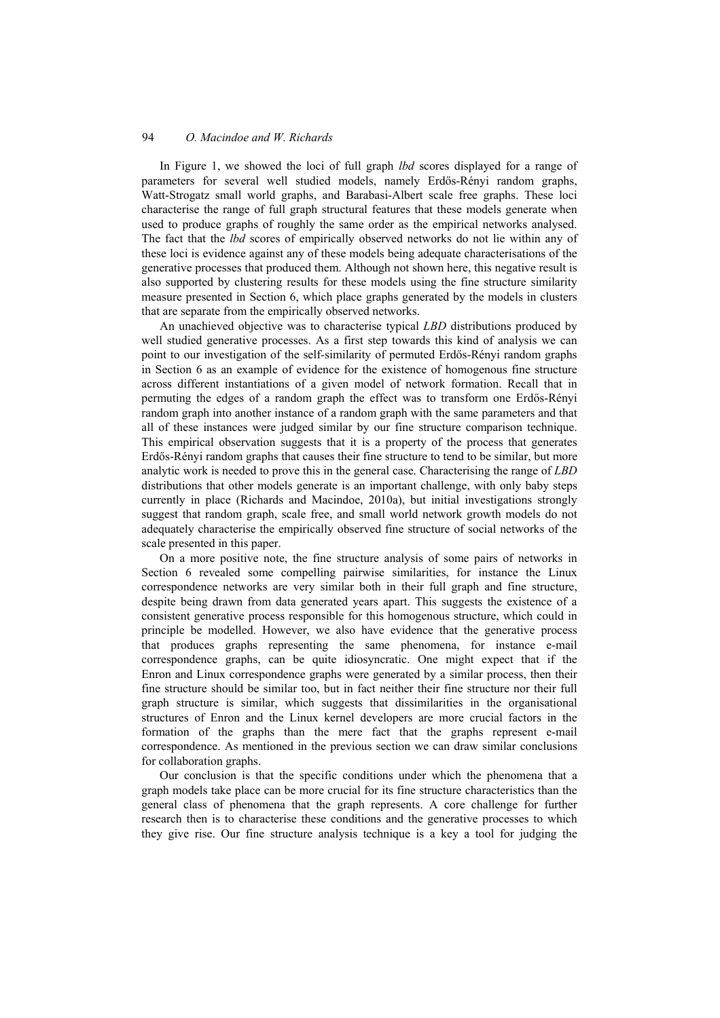In Figure 1, we showed the loci of full graph *lbd* scores displayed for a range of parameters for several well studied models, namely Erdős-Rényi random graphs, Watt-Strogatz small world graphs, and Barabasi-Albert scale free graphs. These loci characterise the range of full graph structural features that these models generate when used to produce graphs of roughly the same order as the empirical networks analysed. The fact that the *lbd* scores of empirically observed networks do not lie within any of these loci is evidence against any of these models being adequate characterisations of the generative processes that produced them. Although not shown here, this negative result is also supported by clustering results for these models using the fine structure similarity measure presented in Section 6, which place graphs generated by the models in clusters that are separate from the empirically observed networks.

An unachieved objective was to characterise typical *LBD* distributions produced by well studied generative processes. As a first step towards this kind of analysis we can point to our investigation of the self-similarity of permuted Erdős-Rényi random graphs in Section 6 as an example of evidence for the existence of homogenous fine structure across different instantiations of a given model of network formation. Recall that in permuting the edges of a random graph the effect was to transform one Erdős-Rényi random graph into another instance of a random graph with the same parameters and that all of these instances were judged similar by our fine structure comparison technique. This empirical observation suggests that it is a property of the process that generates Erdős-Rényi random graphs that causes their fine structure to tend to be similar, but more analytic work is needed to prove this in the general case. Characterising the range of *LBD* distributions that other models generate is an important challenge, with only baby steps currently in place (Richards and Macindoe, 2010a), but initial investigations strongly suggest that random graph, scale free, and small world network growth models do not adequately characterise the empirically observed fine structure of social networks of the scale presented in this paper.

On a more positive note, the fine structure analysis of some pairs of networks in Section 6 revealed some compelling pairwise similarities, for instance the Linux correspondence networks are very similar both in their full graph and fine structure, despite being drawn from data generated years apart. This suggests the existence of a consistent generative process responsible for this homogenous structure, which could in principle be modelled. However, we also have evidence that the generative process that produces graphs representing the same phenomena, for instance e-mail correspondence graphs, can be quite idiosyncratic. One might expect that if the Enron and Linux correspondence graphs were generated by a similar process, then their fine structure should be similar too, but in fact neither their fine structure nor their full graph structure is similar, which suggests that dissimilarities in the organisational structures of Enron and the Linux kernel developers are more crucial factors in the formation of the graphs than the mere fact that the graphs represent e-mail correspondence. As mentioned in the previous section we can draw similar conclusions for collaboration graphs.

Our conclusion is that the specific conditions under which the phenomena that a graph models take place can be more crucial for its fine structure characteristics than the general class of phenomena that the graph represents. A core challenge for further research then is to characterise these conditions and the generative processes to which they give rise. Our fine structure analysis technique is a key a tool for judging the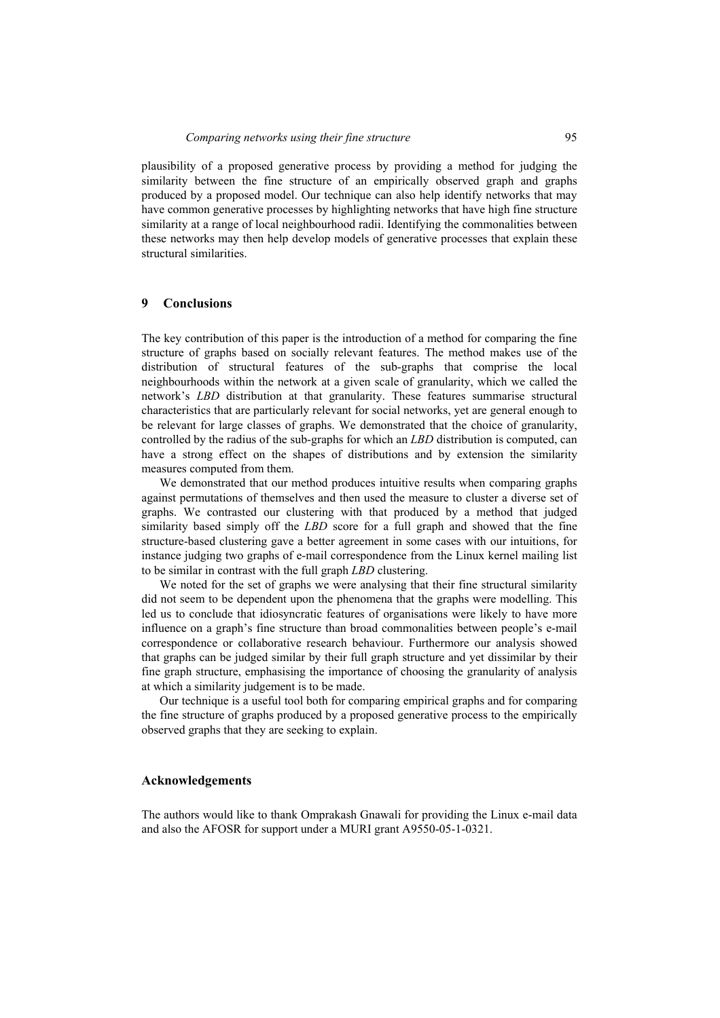plausibility of a proposed generative process by providing a method for judging the similarity between the fine structure of an empirically observed graph and graphs produced by a proposed model. Our technique can also help identify networks that may have common generative processes by highlighting networks that have high fine structure similarity at a range of local neighbourhood radii. Identifying the commonalities between these networks may then help develop models of generative processes that explain these structural similarities.

## **9 Conclusions**

The key contribution of this paper is the introduction of a method for comparing the fine structure of graphs based on socially relevant features. The method makes use of the distribution of structural features of the sub-graphs that comprise the local neighbourhoods within the network at a given scale of granularity, which we called the network's *LBD* distribution at that granularity. These features summarise structural characteristics that are particularly relevant for social networks, yet are general enough to be relevant for large classes of graphs. We demonstrated that the choice of granularity, controlled by the radius of the sub-graphs for which an *LBD* distribution is computed, can have a strong effect on the shapes of distributions and by extension the similarity measures computed from them.

We demonstrated that our method produces intuitive results when comparing graphs against permutations of themselves and then used the measure to cluster a diverse set of graphs. We contrasted our clustering with that produced by a method that judged similarity based simply off the *LBD* score for a full graph and showed that the fine structure-based clustering gave a better agreement in some cases with our intuitions, for instance judging two graphs of e-mail correspondence from the Linux kernel mailing list to be similar in contrast with the full graph *LBD* clustering.

We noted for the set of graphs we were analysing that their fine structural similarity did not seem to be dependent upon the phenomena that the graphs were modelling. This led us to conclude that idiosyncratic features of organisations were likely to have more influence on a graph's fine structure than broad commonalities between people's e-mail correspondence or collaborative research behaviour. Furthermore our analysis showed that graphs can be judged similar by their full graph structure and yet dissimilar by their fine graph structure, emphasising the importance of choosing the granularity of analysis at which a similarity judgement is to be made.

Our technique is a useful tool both for comparing empirical graphs and for comparing the fine structure of graphs produced by a proposed generative process to the empirically observed graphs that they are seeking to explain.

## **Acknowledgements**

The authors would like to thank Omprakash Gnawali for providing the Linux e-mail data and also the AFOSR for support under a MURI grant A9550-05-1-0321.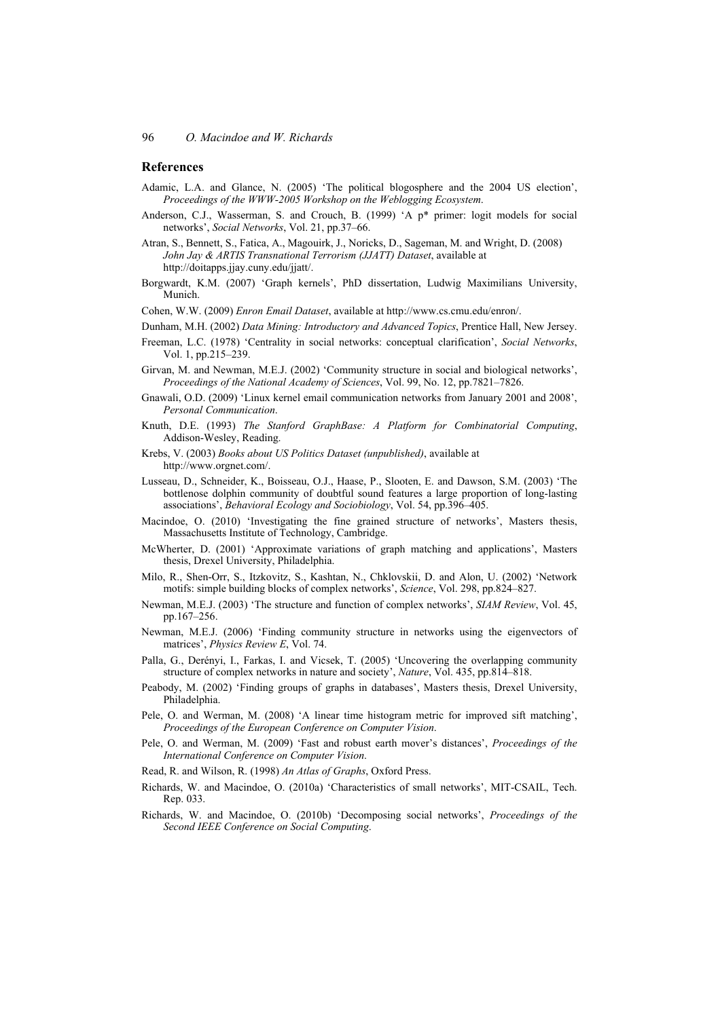#### **References**

- Adamic, L.A. and Glance, N. (2005) 'The political blogosphere and the 2004 US election', *Proceedings of the WWW-2005 Workshop on the Weblogging Ecosystem*.
- Anderson, C.J., Wasserman, S. and Crouch, B. (1999) 'A p\* primer: logit models for social networks', *Social Networks*, Vol. 21, pp.37–66.
- Atran, S., Bennett, S., Fatica, A., Magouirk, J., Noricks, D., Sageman, M. and Wright, D. (2008) *John Jay & ARTIS Transnational Terrorism (JJATT) Dataset*, available at http://doitapps.jjay.cuny.edu/jjatt/.
- Borgwardt, K.M. (2007) 'Graph kernels', PhD dissertation, Ludwig Maximilians University, Munich.
- Cohen, W.W. (2009) *Enron Email Dataset*, available at http://www.cs.cmu.edu/enron/.
- Dunham, M.H. (2002) *Data Mining: Introductory and Advanced Topics*, Prentice Hall, New Jersey.
- Freeman, L.C. (1978) 'Centrality in social networks: conceptual clarification', *Social Networks*, Vol. 1, pp.215–239.
- Girvan, M. and Newman, M.E.J. (2002) 'Community structure in social and biological networks', *Proceedings of the National Academy of Sciences*, Vol. 99, No. 12, pp.7821–7826.
- Gnawali, O.D. (2009) 'Linux kernel email communication networks from January 2001 and 2008', *Personal Communication*.
- Knuth, D.E. (1993) *The Stanford GraphBase: A Platform for Combinatorial Computing*, Addison-Wesley, Reading.
- Krebs, V. (2003) *Books about US Politics Dataset (unpublished)*, available at http://www.orgnet.com/.
- Lusseau, D., Schneider, K., Boisseau, O.J., Haase, P., Slooten, E. and Dawson, S.M. (2003) 'The bottlenose dolphin community of doubtful sound features a large proportion of long-lasting associations', *Behavioral Ecology and Sociobiology*, Vol. 54, pp.396–405.
- Macindoe, O. (2010) 'Investigating the fine grained structure of networks', Masters thesis, Massachusetts Institute of Technology, Cambridge.
- McWherter, D. (2001) 'Approximate variations of graph matching and applications', Masters thesis, Drexel University, Philadelphia.
- Milo, R., Shen-Orr, S., Itzkovitz, S., Kashtan, N., Chklovskii, D. and Alon, U. (2002) 'Network motifs: simple building blocks of complex networks', *Science*, Vol. 298, pp.824–827.
- Newman, M.E.J. (2003) 'The structure and function of complex networks', *SIAM Review*, Vol. 45, pp.167–256.
- Newman, M.E.J. (2006) 'Finding community structure in networks using the eigenvectors of matrices', *Physics Review E*, Vol. 74.
- Palla, G., Derényi, I., Farkas, I. and Vicsek, T. (2005) 'Uncovering the overlapping community structure of complex networks in nature and society', *Nature*, Vol. 435, pp.814–818.
- Peabody, M. (2002) 'Finding groups of graphs in databases', Masters thesis, Drexel University, Philadelphia.
- Pele, O. and Werman, M. (2008) 'A linear time histogram metric for improved sift matching', *Proceedings of the European Conference on Computer Vision*.
- Pele, O. and Werman, M. (2009) 'Fast and robust earth mover's distances', *Proceedings of the International Conference on Computer Vision*.
- Read, R. and Wilson, R. (1998) *An Atlas of Graphs*, Oxford Press.
- Richards, W. and Macindoe, O. (2010a) 'Characteristics of small networks', MIT-CSAIL, Tech. Rep. 033.
- Richards, W. and Macindoe, O. (2010b) 'Decomposing social networks', *Proceedings of the Second IEEE Conference on Social Computing*.